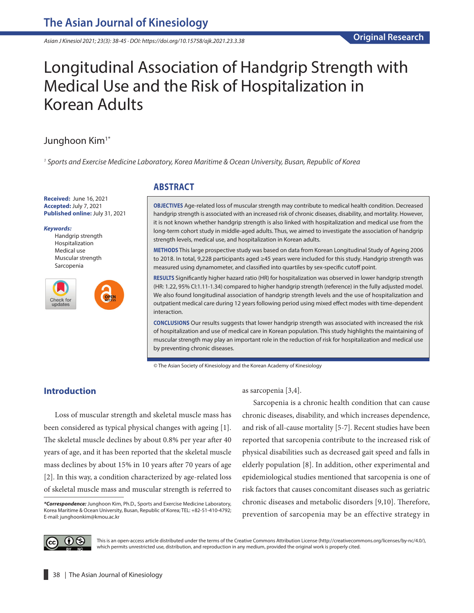*Asian J Kinesiol 2021; 23(3): 38-45 · DOI: https://doi.org/10.15758/ajk.2021.23.3.38*

# Longitudinal Association of Handgrip Strength with Medical Use and the Risk of Hospitalization in Korean Adults

# Junghoon Kim<sup>1\*</sup>

*1 Sports and Exercise Medicine Laboratory, Korea Maritime & Ocean University, Busan, Republic of Korea*

**Received:** June 16, 2021 **Accepted:** July 7, 2021 **Published online:** July 31, 2021

#### *Keywords:*

Handgrip strength Hospitalization Medical use Muscular strength Sarcopenia



## **ABSTRACT**

**OBJECTIVES** Age-related loss of muscular strength may contribute to medical health condition. Decreased handgrip strength is associated with an increased risk of chronic diseases, disability, and mortality. However, it is not known whether handgrip strength is also linked with hospitalization and medical use from the long-term cohort study in middle-aged adults. Thus, we aimed to investigate the association of handgrip strength levels, medical use, and hospitalization in Korean adults.

**METHODS** This large prospective study was based on data from Korean Longitudinal Study of Ageing 2006 to 2018. In total, 9,228 participants aged ≥45 years were included for this study. Handgrip strength was measured using dynamometer, and classified into quartiles by sex-specific cutoff point.

**RESULTS** Significantly higher hazard ratio (HR) for hospitalization was observed in lower handgrip strength (HR: 1.22, 95% CI:1.11-1.34) compared to higher handgrip strength (reference) in the fully adjusted model. We also found longitudinal association of handgrip strength levels and the use of hospitalization and outpatient medical care during 12 years following period using mixed effect modes with time-dependent interaction.

**CONCLUSIONS** Our results suggests that lower handgrip strength was associated with increased the risk of hospitalization and use of medical care in Korean population. This study highlights the maintaining of muscular strength may play an important role in the reduction of risk for hospitalization and medical use by preventing chronic diseases.

© The Asian Society of Kinesiology and the Korean Academy of Kinesiology

# **Introduction**

Loss of muscular strength and skeletal muscle mass has been considered as typical physical changes with ageing [1]. The skeletal muscle declines by about 0.8% per year after 40 years of age, and it has been reported that the skeletal muscle mass declines by about 15% in 10 years after 70 years of age [2]. In this way, a condition characterized by age-related loss of skeletal muscle mass and muscular strength is referred to as sarcopenia [3,4].

Sarcopenia is a chronic health condition that can cause chronic diseases, disability, and which increases dependence, and risk of all-cause mortality [5-7]. Recent studies have been reported that sarcopenia contribute to the increased risk of physical disabilities such as decreased gait speed and falls in elderly population [8]. In addition, other experimental and epidemiological studies mentioned that sarcopenia is one of risk factors that causes concomitant diseases such as geriatric chronic diseases and metabolic disorders [9,10]. Therefore, prevention of sarcopenia may be an effective strategy in



This is an open-access article distributed under the terms of the Creative Commons Attribution License (http://creativecommons.org/licenses/by-nc/4.0/), which permits unrestricted use, distribution, and reproduction in any medium, provided the original work is properly cited.

*<sup>\*</sup>Correspondence:* Junghoon Kim, Ph.D., Sports and Exercise Medicine Laboratory, Korea Maritime & Ocean University, Busan, Republic of Korea; TEL: +82-51-410-4792; E-mail: [junghoonkim@kmou.ac.kr](mailto:junghoonkim@kmou.ac.kr)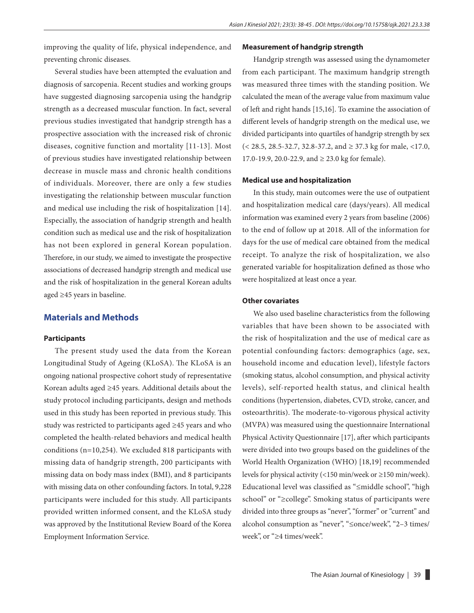improving the quality of life, physical independence, and preventing chronic diseases.

Several studies have been attempted the evaluation and diagnosis of sarcopenia. Recent studies and working groups have suggested diagnosing sarcopenia using the handgrip strength as a decreased muscular function. In fact, several previous studies investigated that handgrip strength has a prospective association with the increased risk of chronic diseases, cognitive function and mortality [11-13]. Most of previous studies have investigated relationship between decrease in muscle mass and chronic health conditions of individuals. Moreover, there are only a few studies investigating the relationship between muscular function and medical use including the risk of hospitalization [14]. Especially, the association of handgrip strength and health condition such as medical use and the risk of hospitalization has not been explored in general Korean population. Therefore, in our study, we aimed to investigate the prospective associations of decreased handgrip strength and medical use and the risk of hospitalization in the general Korean adults aged ≥45 years in baseline.

#### **Materials and Methods**

#### **Participants**

The present study used the data from the Korean Longitudinal Study of Ageing (KLoSA). The KLoSA is an ongoing national prospective cohort study of representative Korean adults aged ≥45 years. Additional details about the study protocol including participants, design and methods used in this study has been reported in previous study. This study was restricted to participants aged ≥45 years and who completed the health-related behaviors and medical health conditions (n=10,254). We excluded 818 participants with missing data of handgrip strength, 200 participants with missing data on body mass index (BMI), and 8 participants with missing data on other confounding factors. In total, 9,228 participants were included for this study. All participants provided written informed consent, and the KLoSA study was approved by the Institutional Review Board of the Korea Employment Information Service.

#### **Measurement of handgrip strength**

Handgrip strength was assessed using the dynamometer from each participant. The maximum handgrip strength was measured three times with the standing position. We calculated the mean of the average value from maximum value of left and right hands [15,16]. To examine the association of different levels of handgrip strength on the medical use, we divided participants into quartiles of handgrip strength by sex  $(< 28.5, 28.5-32.7, 32.8-37.2,$  and  $\geq 37.3$  kg for male, <17.0, 17.0-19.9, 20.0-22.9, and ≥ 23.0 kg for female).

#### **Medical use and hospitalization**

In this study, main outcomes were the use of outpatient and hospitalization medical care (days/years). All medical information was examined every 2 years from baseline (2006) to the end of follow up at 2018. All of the information for days for the use of medical care obtained from the medical receipt. To analyze the risk of hospitalization, we also generated variable for hospitalization defined as those who were hospitalized at least once a year.

#### **Other covariates**

We also used baseline characteristics from the following variables that have been shown to be associated with the risk of hospitalization and the use of medical care as potential confounding factors: demographics (age, sex, household income and education level), lifestyle factors (smoking status, alcohol consumption, and physical activity levels), self-reported health status, and clinical health conditions (hypertension, diabetes, CVD, stroke, cancer, and osteoarthritis). The moderate-to-vigorous physical activity (MVPA) was measured using the questionnaire International Physical Activity Questionnaire [17], after which participants were divided into two groups based on the guidelines of the World Health Organization (WHO) [18,19] recommended levels for physical activity (<150 min/week or ≥150 min/week). Educational level was classified as "≤middle school", "high school" or "≥college". Smoking status of participants were divided into three groups as "never", "former" or "current" and alcohol consumption as "never", "≤once/week", "2–3 times/ week", or "≥4 times/week".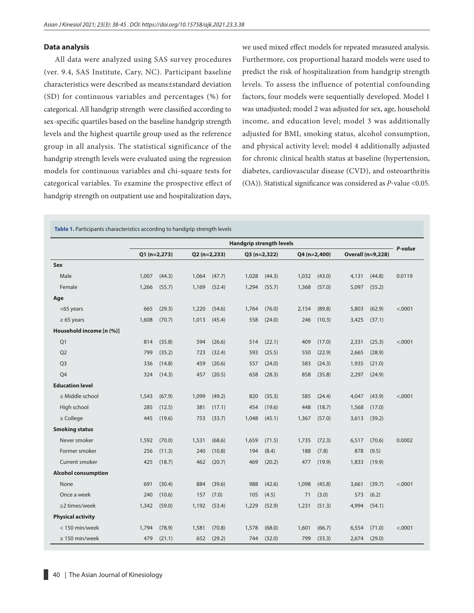#### **Data analysis**

All data were analyzed using SAS survey procedures (ver. 9.4, SAS Institute, Cary, NC). Participant baseline characteristics were described as means±standard deviation (SD) for continuous variables and percentages (%) for categorical. All handgrip strength were classified according to sex-specific quartiles based on the baseline handgrip strength levels and the highest quartile group used as the reference group in all analysis. The statistical significance of the handgrip strength levels were evaluated using the regression models for continuous variables and chi-square tests for categorical variables. To examine the prospective effect of handgrip strength on outpatient use and hospitalization days,

we used mixed effect models for repeated measured analysis. Furthermore, cox proportional hazard models were used to predict the risk of hospitalization from handgrip strength levels. To assess the influence of potential confounding factors, four models were sequentially developed. Model 1 was unadjusted; model 2 was adjusted for sex, age, household income, and education level; model 3 was additionally adjusted for BMI, smoking status, alcohol consumption, and physical activity level; model 4 additionally adjusted for chronic clinical health status at baseline (hypertension, diabetes, cardiovascular disease (CVD), and osteoarthritis (OA)). Statistical significance was considered as *P*-value <0.05.

**Table 1.** Participants characteristics according to handgrip strength levels

|                            | <b>Handgrip strength levels</b> |               |       |              |               |        |       |               |       |                   |         |
|----------------------------|---------------------------------|---------------|-------|--------------|---------------|--------|-------|---------------|-------|-------------------|---------|
|                            |                                 | $Q1(n=2,273)$ |       | Q2 (n=2,233) | $Q3(n=2,322)$ |        |       | $Q4(n=2,400)$ |       | Overall (n=9,228) | P-value |
| Sex                        |                                 |               |       |              |               |        |       |               |       |                   |         |
| Male                       | 1,007                           | (44.3)        | 1,064 | (47.7)       | 1,028         | (44.3) | 1,032 | (43.0)        | 4,131 | (44.8)            | 0.0119  |
| Female                     | 1,266                           | (55.7)        | 1,169 | (52.4)       | 1,294         | (55.7) | 1,368 | (57.0)        | 5,097 | (55.2)            |         |
| Age                        |                                 |               |       |              |               |        |       |               |       |                   |         |
| <65 years                  | 665                             | (29.3)        | 1,220 | (54.6)       | 1,764         | (76.0) | 2,154 | (89.8)        | 5,803 | (62.9)            | < .0001 |
| $\geq 65$ years            | 1,608                           | (70.7)        | 1,013 | (45.4)       | 558           | (24.0) | 246   | (10.3)        | 3,425 | (37.1)            |         |
| Household income [n (%)]   |                                 |               |       |              |               |        |       |               |       |                   |         |
| Q1                         | 814                             | (35.8)        | 594   | (26.6)       | 514           | (22.1) | 409   | (17.0)        | 2,331 | (25.3)            | < .0001 |
| Q <sub>2</sub>             | 799                             | (35.2)        | 723   | (32.4)       | 593           | (25.5) | 550   | (22.9)        | 2,665 | (28.9)            |         |
| O <sub>3</sub>             | 336                             | (14.8)        | 459   | (20.6)       | 557           | (24.0) | 583   | (24.3)        | 1,935 | (21.0)            |         |
| Q4                         | 324                             | (14.3)        | 457   | (20.5)       | 658           | (28.3) | 858   | (35.8)        | 2,297 | (24.9)            |         |
| <b>Education level</b>     |                                 |               |       |              |               |        |       |               |       |                   |         |
| $\leq$ Middle school       | 1,543                           | (67.9)        | 1,099 | (49.2)       | 820           | (35.3) | 585   | (24.4)        | 4,047 | (43.9)            | < .0001 |
| High school                | 285                             | (12.5)        | 381   | (17.1)       | 454           | (19.6) | 448   | (18.7)        | 1,568 | (17.0)            |         |
| $\geq$ College             | 445                             | (19.6)        | 753   | (33.7)       | 1,048         | (45.1) | 1,367 | (57.0)        | 3,613 | (39.2)            |         |
| <b>Smoking status</b>      |                                 |               |       |              |               |        |       |               |       |                   |         |
| Never smoker               | 1,592                           | (70.0)        | 1,531 | (68.6)       | 1,659         | (71.5) | 1,735 | (72.3)        | 6,517 | (70.6)            | 0.0002  |
| Former smoker              | 256                             | (11.3)        | 240   | (10.8)       | 194           | (8.4)  | 188   | (7.8)         | 878   | (9.5)             |         |
| Current smoker             | 425                             | (18.7)        | 462   | (20.7)       | 469           | (20.2) | 477   | (19.9)        | 1,833 | (19.9)            |         |
| <b>Alcohol consumption</b> |                                 |               |       |              |               |        |       |               |       |                   |         |
| None                       | 691                             | (30.4)        | 884   | (39.6)       | 988           | (42.6) | 1,098 | (45.8)        | 3,661 | (39.7)            | < .0001 |
| Once a week                | 240                             | (10.6)        | 157   | (7.0)        | 105           | (4.5)  | 71    | (3.0)         | 573   | (6.2)             |         |
| $\geq$ 2 times/week        | 1,342                           | (59.0)        | 1,192 | (53.4)       | 1,229         | (52.9) | 1,231 | (51.3)        | 4,994 | (54.1)            |         |
| <b>Physical activity</b>   |                                 |               |       |              |               |        |       |               |       |                   |         |
| < 150 min/week             | 1,794                           | (78.9)        | 1,581 | (70.8)       | 1,578         | (68.0) | 1,601 | (66.7)        | 6,554 | (71.0)            | < .0001 |
| $\geq$ 150 min/week        | 479                             | (21.1)        | 652   | (29.2)       | 744           | (32.0) | 799   | (33.3)        | 2,674 | (29.0)            |         |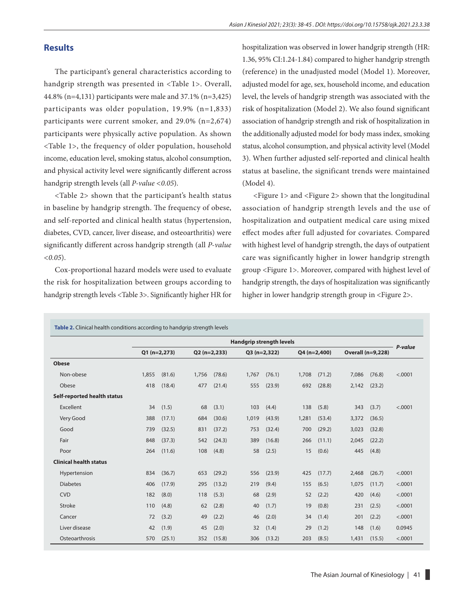## **Results**

The participant's general characteristics according to handgrip strength was presented in <Table 1>. Overall, 44.8% (n=4,131) participants were male and 37.1% (n=3,425) participants was older population, 19.9% (n=1,833) participants were current smoker, and 29.0% (n=2,674) participants were physically active population. As shown <Table 1>, the frequency of older population, household income, education level, smoking status, alcohol consumption, and physical activity level were significantly different across handgrip strength levels (all *P-value <0.05*).

<Table 2> shown that the participant's health status in baseline by handgrip strength. The frequency of obese, and self-reported and clinical health status (hypertension, diabetes, CVD, cancer, liver disease, and osteoarthritis) were significantly different across handgrip strength (all *P-value <0.05*).

Cox-proportional hazard models were used to evaluate the risk for hospitalization between groups according to handgrip strength levels <Table 3>. Significantly higher HR for hospitalization was observed in lower handgrip strength (HR: 1.36, 95% CI:1.24-1.84) compared to higher handgrip strength (reference) in the unadjusted model (Model 1). Moreover, adjusted model for age, sex, household income, and education level, the levels of handgrip strength was associated with the risk of hospitalization (Model 2). We also found significant association of handgrip strength and risk of hospitalization in the additionally adjusted model for body mass index, smoking status, alcohol consumption, and physical activity level (Model 3). When further adjusted self-reported and clinical health status at baseline, the significant trends were maintained (Model 4).

<Figure 1> and <Figure 2> shown that the longitudinal association of handgrip strength levels and the use of hospitalization and outpatient medical care using mixed effect modes after full adjusted for covariates. Compared with highest level of handgrip strength, the days of outpatient care was significantly higher in lower handgrip strength group <Figure 1>. Moreover, compared with highest level of handgrip strength, the days of hospitalization was significantly higher in lower handgrip strength group in <Figure 2>.

|                               |               |        |                |        |               | <b>Handgrip strength levels</b> |               |        |                          |        |         |
|-------------------------------|---------------|--------|----------------|--------|---------------|---------------------------------|---------------|--------|--------------------------|--------|---------|
|                               | $Q1(n=2,273)$ |        | $Q2 (n=2,233)$ |        | $Q3(n=2,322)$ |                                 | $Q4(n=2,400)$ |        | <b>Overall (n=9,228)</b> |        | P-value |
| <b>Obese</b>                  |               |        |                |        |               |                                 |               |        |                          |        |         |
| Non-obese                     | 1,855         | (81.6) | 1,756          | (78.6) | 1,767         | (76.1)                          | 1,708         | (71.2) | 7,086                    | (76.8) | < .0001 |
| Obese                         | 418           | (18.4) | 477            | (21.4) | 555           | (23.9)                          | 692           | (28.8) | 2,142                    | (23.2) |         |
| Self-reported health status   |               |        |                |        |               |                                 |               |        |                          |        |         |
| Excellent                     | 34            | (1.5)  | 68             | (3.1)  | 103           | (4.4)                           | 138           | (5.8)  | 343                      | (3.7)  | < .0001 |
| Very Good                     | 388           | (17.1) | 684            | (30.6) | 1,019         | (43.9)                          | 1,281         | (53.4) | 3,372                    | (36.5) |         |
| Good                          | 739           | (32.5) | 831            | (37.2) | 753           | (32.4)                          | 700           | (29.2) | 3,023                    | (32.8) |         |
| Fair                          | 848           | (37.3) | 542            | (24.3) | 389           | (16.8)                          | 266           | (11.1) | 2,045                    | (22.2) |         |
| Poor                          | 264           | (11.6) | 108            | (4.8)  | 58            | (2.5)                           | 15            | (0.6)  | 445                      | (4.8)  |         |
| <b>Clinical health status</b> |               |        |                |        |               |                                 |               |        |                          |        |         |
| Hypertension                  | 834           | (36.7) | 653            | (29.2) | 556           | (23.9)                          | 425           | (17.7) | 2,468                    | (26.7) | < .0001 |
| <b>Diabetes</b>               | 406           | (17.9) | 295            | (13.2) | 219           | (9.4)                           | 155           | (6.5)  | 1,075                    | (11.7) | < .0001 |
| <b>CVD</b>                    | 182           | (8.0)  | 118            | (5.3)  | 68            | (2.9)                           | 52            | (2.2)  | 420                      | (4.6)  | < .0001 |
| Stroke                        | 110           | (4.8)  | 62             | (2.8)  | 40            | (1.7)                           | 19            | (0.8)  | 231                      | (2.5)  | < .0001 |
| Cancer                        | 72            | (3.2)  | 49             | (2.2)  | 46            | (2.0)                           | 34            | (1.4)  | 201                      | (2.2)  | < .0001 |
| Liver disease                 | 42            | (1.9)  | 45             | (2.0)  | 32            | (1.4)                           | 29            | (1.2)  | 148                      | (1.6)  | 0.0945  |
| Osteoarthrosis                | 570           | (25.1) | 352            | (15.8) | 306           | (13.2)                          | 203           | (8.5)  | 1,431                    | (15.5) | < .0001 |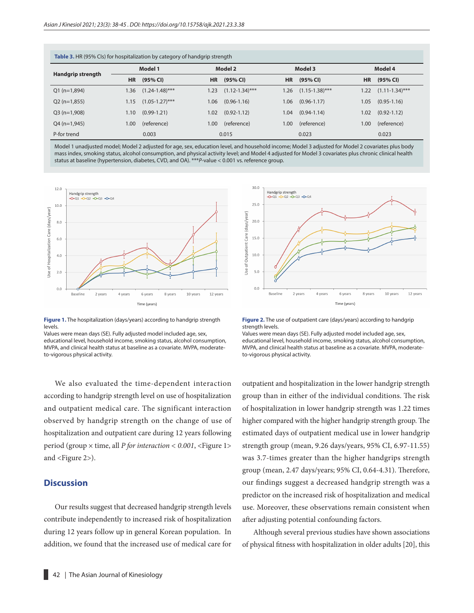| <b>Table 3.</b> HR (95% Cls) for hospitalization by category of handgrip strength |           |                     |           |                     |           |                   |           |                     |  |  |  |
|-----------------------------------------------------------------------------------|-----------|---------------------|-----------|---------------------|-----------|-------------------|-----------|---------------------|--|--|--|
| Handgrip strength                                                                 |           | Model 1             |           | Model 2             |           | Model 3           |           | Model 4             |  |  |  |
|                                                                                   | <b>HR</b> | (95% CI)            | <b>HR</b> | (95% CI)            | <b>HR</b> | (95% CI)          | <b>HR</b> | (95% CI)            |  |  |  |
| $Q1(n=1,894)$                                                                     | 1.36      | $(1.24 - 1.48)$ *** | 1.23      | $(1.12 - 1.34)$ *** | 1.26      | $(1.15-1.38)$ *** | 1.22      | $(1.11 - 1.34)$ *** |  |  |  |
| $Q2(n=1,855)$                                                                     | 1.15      | $(1.05 - 1.27)$ *** | 1.06      | $(0.96 - 1.16)$     | 1.06      | $(0.96 - 1.17)$   | 1.05      | $(0.95 - 1.16)$     |  |  |  |
| $Q3(n=1,908)$                                                                     | 1.10      | $(0.99 - 1.21)$     | 1.02      | $(0.92 - 1.12)$     | 1.04      | $(0.94 - 1.14)$   | 1.02      | $(0.92 - 1.12)$     |  |  |  |
| $Q4(n=1,945)$                                                                     | 1.00      | (reference)         | 1.00      | (reference)         | 1.00      | (reference)       | 1.00      | (reference)         |  |  |  |
| P-for trend                                                                       |           | 0.003               |           | 0.015               |           | 0.023             |           | 0.023               |  |  |  |

Model 1 unadjusted model; Model 2 adjusted for age, sex, education level, and household income; Model 3 adjusted for Model 2 covariates plus body mass index, smoking status, alcohol consumption, and physical activity level; and Model 4 adjusted for Model 3 covariates plus chronic clinical health status at baseline (hypertension, diabetes, CVD, and OA). \*\*\**P*-value < 0.001 vs. reference group.



**Figure 1.** The hospitalization (days/years) according to handgrip strength levels.

Values were mean days (SE). Fully adjusted model included age, sex, educational level, household income, smoking status, alcohol consumption, MVPA, and clinical health status at baseline as a covariate. MVPA, moderateto-vigorous physical activity.

We also evaluated the time-dependent interaction according to handgrip strength level on use of hospitalization and outpatient medical care. The significant interaction observed by handgrip strength on the change of use of hospitalization and outpatient care during 12 years following period (group × time, all *P for interaction < 0.001*, <Figure 1> and <Figure 2>).

## **Discussion**

Our results suggest that decreased handgrip strength levels contribute independently to increased risk of hospitalization during 12 years follow up in general Korean population. In addition, we found that the increased use of medical care for



**Figure 2.** The use of outpatient care (days/years) according to handgrip strength levels.

Values were mean days (SE). Fully adjusted model included age, sex, educational level, household income, smoking status, alcohol consumption, MVPA, and clinical health status at baseline as a covariate. MVPA, moderateto-vigorous physical activity.

outpatient and hospitalization in the lower handgrip strength group than in either of the individual conditions. The risk of hospitalization in lower handgrip strength was 1.22 times higher compared with the higher handgrip strength group. The estimated days of outpatient medical use in lower handgrip strength group (mean, 9.26 days/years, 95% CI, 6.97-11.55) was 3.7-times greater than the higher handgrips strength group (mean, 2.47 days/years; 95% CI, 0.64-4.31). Therefore, our findings suggest a decreased handgrip strength was a predictor on the increased risk of hospitalization and medical use. Moreover, these observations remain consistent when after adjusting potential confounding factors.

Although several previous studies have shown associations of physical fitness with hospitalization in older adults [20], this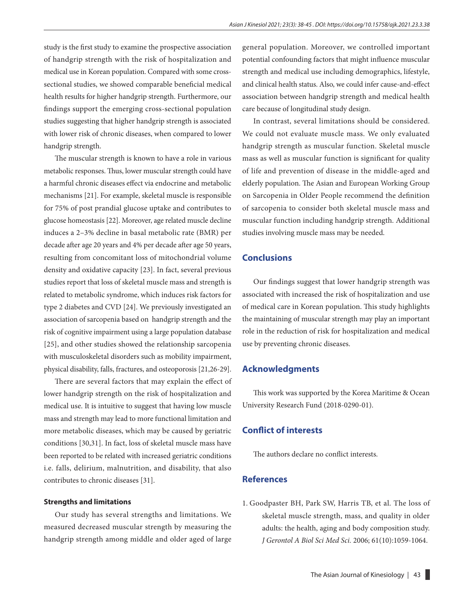study is the first study to examine the prospective association of handgrip strength with the risk of hospitalization and medical use in Korean population. Compared with some crosssectional studies, we showed comparable beneficial medical health results for higher handgrip strength. Furthermore, our findings support the emerging cross-sectional population studies suggesting that higher handgrip strength is associated with lower risk of chronic diseases, when compared to lower handgrip strength.

The muscular strength is known to have a role in various metabolic responses. Thus, lower muscular strength could have a harmful chronic diseases effect via endocrine and metabolic mechanisms [21]. For example, skeletal muscle is responsible for 75% of post prandial glucose uptake and contributes to glucose homeostasis [22]. Moreover, age related muscle decline induces a 2–3% decline in basal metabolic rate (BMR) per decade after age 20 years and 4% per decade after age 50 years, resulting from concomitant loss of mitochondrial volume density and oxidative capacity [23]. In fact, several previous studies report that loss of skeletal muscle mass and strength is related to metabolic syndrome, which induces risk factors for type 2 diabetes and CVD [24]. We previously investigated an association of sarcopenia based on handgrip strength and the risk of cognitive impairment using a large population database [25], and other studies showed the relationship sarcopenia with musculoskeletal disorders such as mobility impairment, physical disability, falls, fractures, and osteoporosis [21,26-29].

There are several factors that may explain the effect of lower handgrip strength on the risk of hospitalization and medical use. It is intuitive to suggest that having low muscle mass and strength may lead to more functional limitation and more metabolic diseases, which may be caused by geriatric conditions [30,31]. In fact, loss of skeletal muscle mass have been reported to be related with increased geriatric conditions i.e. falls, delirium, malnutrition, and disability, that also contributes to chronic diseases [31].

#### **Strengths and limitations**

Our study has several strengths and limitations. We measured decreased muscular strength by measuring the handgrip strength among middle and older aged of large general population. Moreover, we controlled important potential confounding factors that might influence muscular strength and medical use including demographics, lifestyle, and clinical health status. Also, we could infer cause-and-effect association between handgrip strength and medical health care because of longitudinal study design.

In contrast, several limitations should be considered. We could not evaluate muscle mass. We only evaluated handgrip strength as muscular function. Skeletal muscle mass as well as muscular function is significant for quality of life and prevention of disease in the middle-aged and elderly population. The Asian and European Working Group on Sarcopenia in Older People recommend the definition of sarcopenia to consider both skeletal muscle mass and muscular function including handgrip strength. Additional studies involving muscle mass may be needed.

#### **Conclusions**

Our findings suggest that lower handgrip strength was associated with increased the risk of hospitalization and use of medical care in Korean population. This study highlights the maintaining of muscular strength may play an important role in the reduction of risk for hospitalization and medical use by preventing chronic diseases.

#### **Acknowledgments**

This work was supported by the Korea Maritime & Ocean University Research Fund (2018-0290-01).

## **Conflict of interests**

The authors declare no conflict interests.

### **References**

1. Goodpaster BH, Park SW, Harris TB, et al. The loss of skeletal muscle strength, mass, and quality in older adults: the health, aging and body composition study. *J Gerontol A Biol Sci Med Sci.* 2006; 61(10):1059-1064.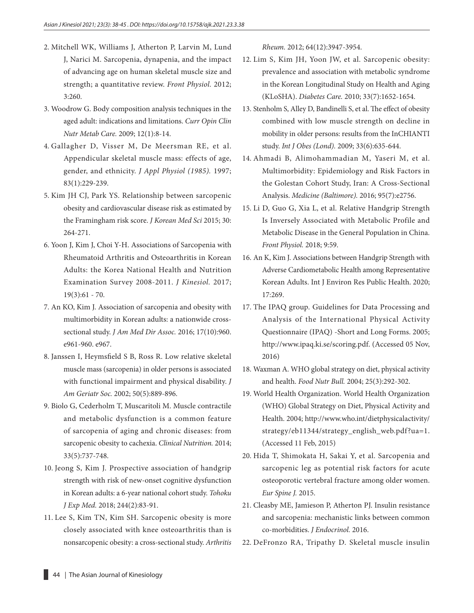- 2. Mitchell WK, Williams J, Atherton P, Larvin M, Lund J, Narici M. Sarcopenia, dynapenia, and the impact of advancing age on human skeletal muscle size and strength; a quantitative review. *Front Physiol.* 2012; 3:260.
- 3. Woodrow G. Body composition analysis techniques in the aged adult: indications and limitations. *Curr Opin Clin Nutr Metab Care.* 2009; 12(1):8-14.
- 4. Gallagher D, Visser M, De Meersman RE, et al. Appendicular skeletal muscle mass: effects of age, gender, and ethnicity. *J Appl Physiol (1985).* 1997; 83(1):229-239.
- 5. Kim JH CJ, Park YS. Relationship between sarcopenic obesity and cardiovascular disease risk as estimated by the Framingham risk score. *J Korean Med Sci* 2015; 30: 264-271.
- 6. Yoon J, Kim J, Choi Y-H. Associations of Sarcopenia with Rheumatoid Arthritis and Osteoarthritis in Korean Adults: the Korea National Health and Nutrition Examination Survey 2008-2011. *J Kinesiol.* 2017; 19(3):61 - 70.
- 7. An KO, Kim J. Association of sarcopenia and obesity with multimorbidity in Korean adults: a nationwide crosssectional study. *J Am Med Dir Assoc.* 2016; 17(10):960. e961-960. e967.
- 8. Janssen I, Heymsfield S B, Ross R. Low relative skeletal muscle mass (sarcopenia) in older persons is associated with functional impairment and physical disability. *J Am Geriatr Soc.* 2002; 50(5):889-896.
- 9. Biolo G, Cederholm T, Muscaritoli M. Muscle contractile and metabolic dysfunction is a common feature of sarcopenia of aging and chronic diseases: from sarcopenic obesity to cachexia. *Clinical Nutrition.* 2014; 33(5):737-748.
- 10. Jeong S, Kim J. Prospective association of handgrip strength with risk of new-onset cognitive dysfunction in Korean adults: a 6-year national cohort study. *Tohoku J Exp Med.* 2018; 244(2):83-91.
- 11. Lee S, Kim TN, Kim SH. Sarcopenic obesity is more closely associated with knee osteoarthritis than is nonsarcopenic obesity: a cross-sectional study. *Arthritis*

*Rheum.* 2012; 64(12):3947-3954.

- 12. Lim S, Kim JH, Yoon JW, et al. Sarcopenic obesity: prevalence and association with metabolic syndrome in the Korean Longitudinal Study on Health and Aging (KLoSHA). *Diabetes Care.* 2010; 33(7):1652-1654.
- 13. Stenholm S, Alley D, Bandinelli S, et al. The effect of obesity combined with low muscle strength on decline in mobility in older persons: results from the InCHIANTI study. *Int J Obes (Lond).* 2009; 33(6):635-644.
- 14. Ahmadi B, Alimohammadian M, Yaseri M, et al. Multimorbidity: Epidemiology and Risk Factors in the Golestan Cohort Study, Iran: A Cross-Sectional Analysis. *Medicine (Baltimore).* 2016; 95(7):e2756.
- 15. Li D, Guo G, Xia L, et al. Relative Handgrip Strength Is Inversely Associated with Metabolic Profile and Metabolic Disease in the General Population in China. *Front Physiol.* 2018; 9:59.
- 16. An K, Kim J. Associations between Handgrip Strength with Adverse Cardiometabolic Health among Representative Korean Adults. Int J Environ Res Public Health. 2020; 17:269.
- 17. The IPAQ group. Guidelines for Data Processing and Analysis of the International Physical Activity Questionnaire (IPAQ) -Short and Long Forms. 2005; <http://www.ipaq.ki.se/scoring.pdf>. (Accessed 05 Nov, 2016)
- 18. Waxman A. WHO global strategy on diet, physical activity and health. *Food Nutr Bull.* 2004; 25(3):292-302.
- 19. World Health Organization. World Health Organization (WHO) Global Strategy on Diet, Physical Activity and Health. 2004; [http://www.who.int/dietphysicalactivity/](http://www.who.int/dietphysicalactivity/strategy/eb11344/strategy_english_web.pdf?ua=1) [strategy/eb11344/strategy\\_english\\_web.pdf?ua=1.](http://www.who.int/dietphysicalactivity/strategy/eb11344/strategy_english_web.pdf?ua=1) (Accessed 11 Feb, 2015)
- 20. Hida T, Shimokata H, Sakai Y, et al. Sarcopenia and sarcopenic leg as potential risk factors for acute osteoporotic vertebral fracture among older women. *Eur Spine J.* 2015.
- 21. Cleasby ME, Jamieson P, Atherton PJ. Insulin resistance and sarcopenia: mechanistic links between common co-morbidities. *J Endocrinol.* 2016.
- 22. DeFronzo RA, Tripathy D. Skeletal muscle insulin